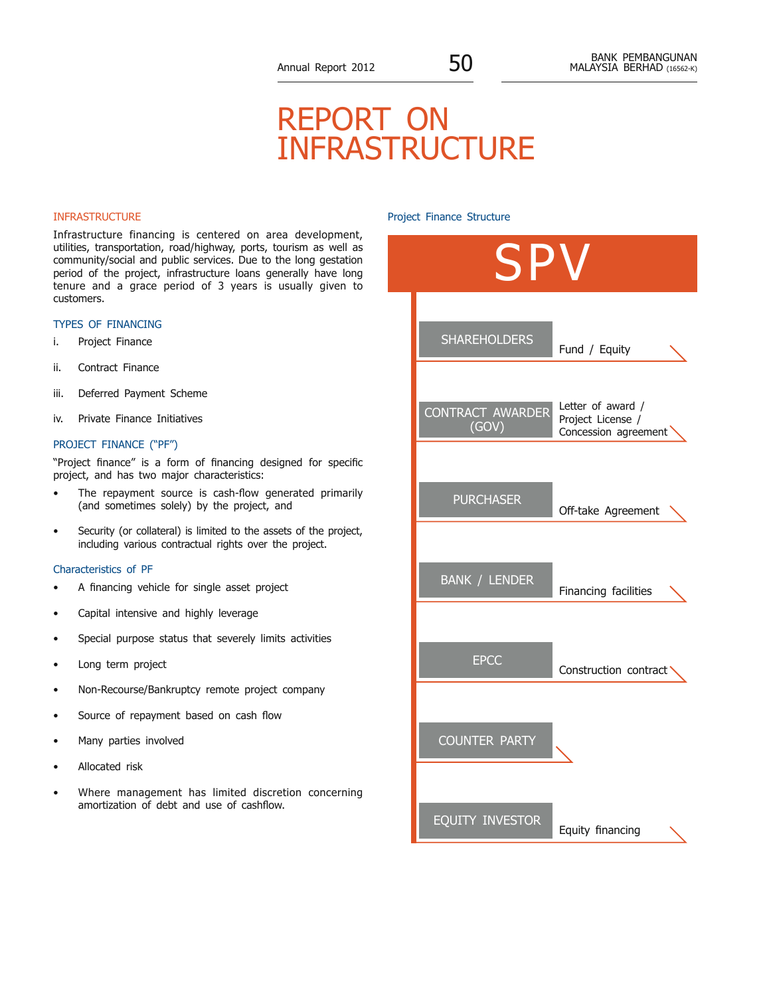# report on infrastructure

## INFRASTRUCTURE

Infrastructure financing is centered on area development, utilities, transportation, road/highway, ports, tourism as well as community/social and public services. Due to the long gestation period of the project, infrastructure loans generally have long tenure and a grace period of 3 years is usually given to customers.

## Types of Financing

- i. Project Finance
- ii. Contract Finance
- iii. Deferred Payment Scheme
- iv. Private Finance Initiatives

## Project Finance ("PF")

"Project finance" is a form of financing designed for specific project, and has two major characteristics:

- The repayment source is cash-flow generated primarily (and sometimes solely) by the project, and
- Security (or collateral) is limited to the assets of the project, including various contractual rights over the project.

#### Characteristics of PF

- A financing vehicle for single asset project
- Capital intensive and highly leverage
- Special purpose status that severely limits activities
- Long term project
- Non-Recourse/Bankruptcy remote project company
- Source of repayment based on cash flow
- Many parties involved
- Allocated risk
- Where management has limited discretion concerning amortization of debt and use of cashflow.

## Project Finance Structure

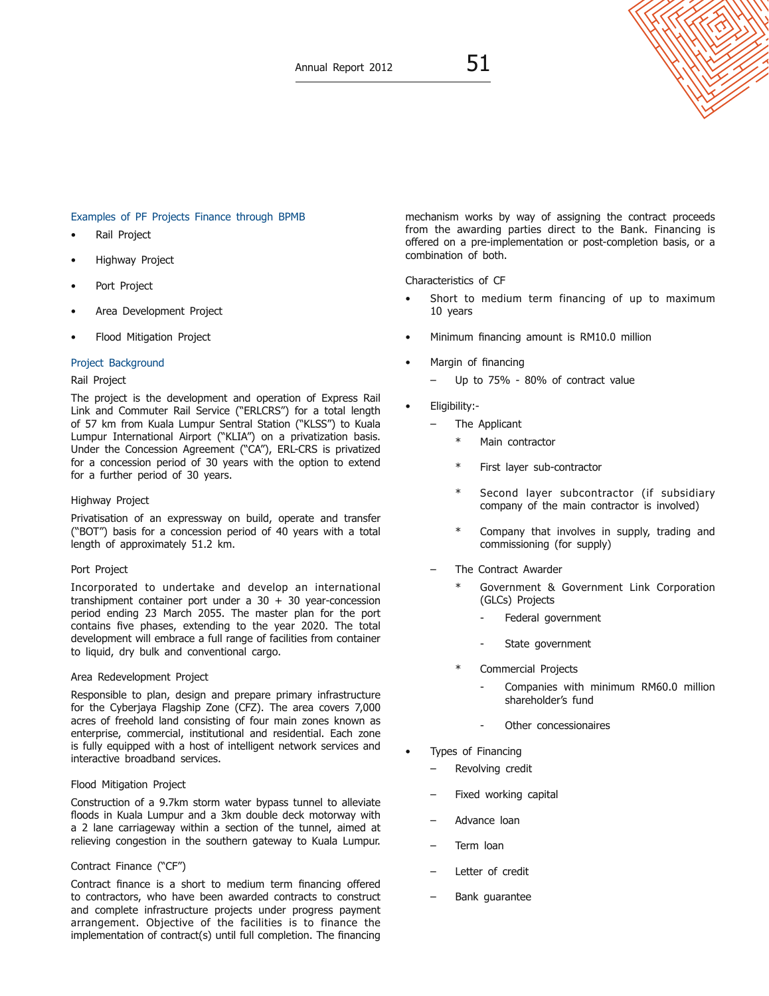# Examples of PF Projects Finance through BPMB

- Rail Project
- Highway Project
- Port Project
- Area Development Project
- Flood Mitigation Project

## Project Background

# Rail Project

The project is the development and operation of Express Rail Link and Commuter Rail Service ("ERLCRS") for a total length of 57 km from Kuala Lumpur Sentral Station ("KLSS") to Kuala Lumpur International Airport ("KLIA") on a privatization basis. Under the Concession Agreement ("CA"), ERL-CRS is privatized for a concession period of 30 years with the option to extend for a further period of 30 years.

# Highway Project

Privatisation of an expressway on build, operate and transfer ("BOT") basis for a concession period of 40 years with a total length of approximately 51.2 km.

# Port Project

Incorporated to undertake and develop an international transhipment container port under a  $30 + 30$  year-concession period ending 23 March 2055. The master plan for the port contains five phases, extending to the year 2020. The total development will embrace a full range of facilities from container to liquid, dry bulk and conventional cargo.

## Area Redevelopment Project

Responsible to plan, design and prepare primary infrastructure for the Cyberjaya Flagship Zone (CFZ). The area covers 7,000 acres of freehold land consisting of four main zones known as enterprise, commercial, institutional and residential. Each zone is fully equipped with a host of intelligent network services and interactive broadband services.

## Flood Mitigation Project

Construction of a 9.7km storm water bypass tunnel to alleviate floods in Kuala Lumpur and a 3km double deck motorway with a 2 lane carriageway within a section of the tunnel, aimed at relieving congestion in the southern gateway to Kuala Lumpur.

# Contract Finance ("CF")

Contract finance is a short to medium term financing offered to contractors, who have been awarded contracts to construct and complete infrastructure projects under progress payment arrangement. Objective of the facilities is to finance the implementation of contract(s) until full completion. The financing mechanism works by way of assigning the contract proceeds from the awarding parties direct to the Bank. Financing is offered on a pre-implementation or post-completion basis, or a combination of both.

Characteristics of CF

- Short to medium term financing of up to maximum 10 years
- Minimum financing amount is RM10.0 million
- Margin of financing
	- Up to 75% 80% of contract value
- Eligibility:-
	- The Applicant
		- \* Main contractor
		- First layer sub-contractor
		- Second layer subcontractor (if subsidiary company of the main contractor is involved)
		- Company that involves in supply, trading and commissioning (for supply)
	- The Contract Awarder
		- Government & Government Link Corporation (GLCs) Projects
			- Federal government
			- State government
		- Commercial Projects
			- Companies with minimum RM60.0 million shareholder's fund
			- Other concessionaires
- Types of Financing
	- Revolving credit
	- Fixed working capital
	- Advance loan
	- Term loan
	- Letter of credit
	- Bank guarantee

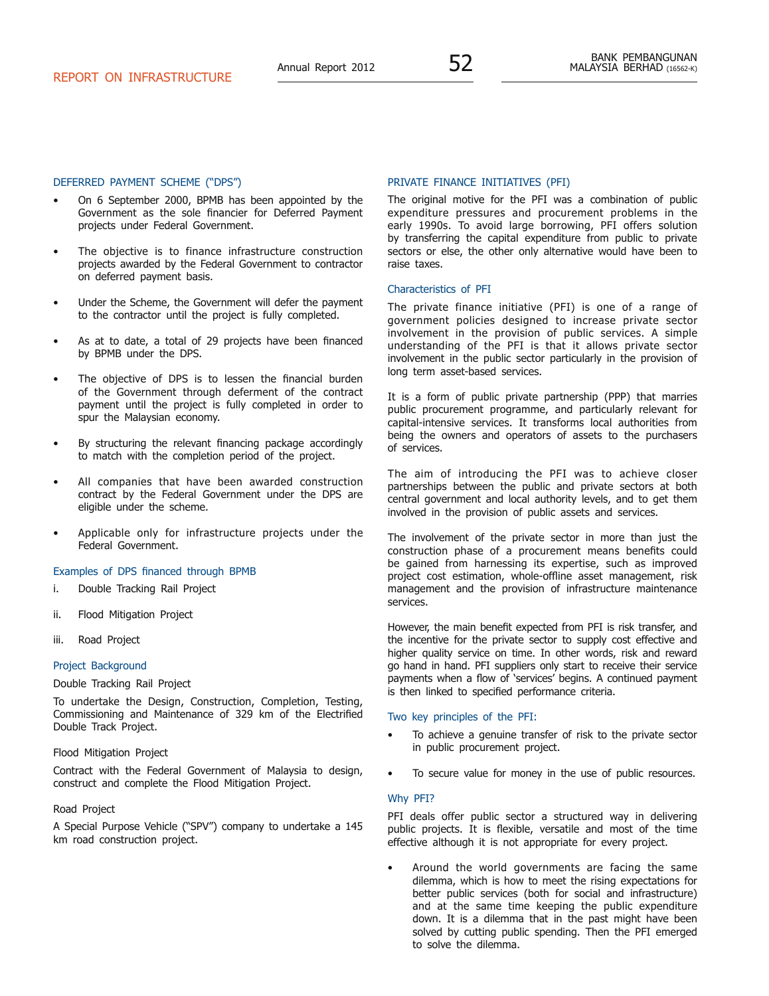#### Deferred Payment Scheme ("DPS")

- On 6 September 2000, BPMB has been appointed by the Government as the sole financier for Deferred Payment projects under Federal Government.
- The objective is to finance infrastructure construction projects awarded by the Federal Government to contractor on deferred payment basis.
- Under the Scheme, the Government will defer the payment to the contractor until the project is fully completed.
- As at to date, a total of 29 projects have been financed by BPMB under the DPS.
- The objective of DPS is to lessen the financial burden of the Government through deferment of the contract payment until the project is fully completed in order to spur the Malaysian economy.
- By structuring the relevant financing package accordingly to match with the completion period of the project.
- All companies that have been awarded construction contract by the Federal Government under the DPS are eligible under the scheme.
- Applicable only for infrastructure projects under the Federal Government.

## Examples of DPS financed through BPMB

- i. Double Tracking Rail Project
- ii. Flood Mitigation Project
- iii. Road Project

#### Project Background

## Double Tracking Rail Project

To undertake the Design, Construction, Completion, Testing, Commissioning and Maintenance of 329 km of the Electrified Double Track Project.

#### Flood Mitigation Project

Contract with the Federal Government of Malaysia to design, construct and complete the Flood Mitigation Project.

#### Road Project

A Special Purpose Vehicle ("SPV") company to undertake a 145 km road construction project.

## Private Finance Initiatives (PFI)

The original motive for the PFI was a combination of public expenditure pressures and procurement problems in the early 1990s. To avoid large borrowing, PFI offers solution by transferring the capital expenditure from public to private sectors or else, the other only alternative would have been to raise taxes.

#### Characteristics of PFI

The private finance initiative (PFI) is one of a range of government policies designed to increase private sector involvement in the provision of public services. A simple understanding of the PFI is that it allows private sector involvement in the public sector particularly in the provision of long term asset-based services.

It is a form of public private partnership (PPP) that marries public procurement programme, and particularly relevant for capital-intensive services. It transforms local authorities from being the owners and operators of assets to the purchasers of services.

The aim of introducing the PFI was to achieve closer partnerships between the public and private sectors at both central government and local authority levels, and to get them involved in the provision of public assets and services.

The involvement of the private sector in more than just the construction phase of a procurement means benefits could be gained from harnessing its expertise, such as improved project cost estimation, whole-offline asset management, risk management and the provision of infrastructure maintenance services.

However, the main benefit expected from PFI is risk transfer, and the incentive for the private sector to supply cost effective and higher quality service on time. In other words, risk and reward go hand in hand. PFI suppliers only start to receive their service payments when a flow of 'services' begins. A continued payment is then linked to specified performance criteria.

#### Two key principles of the PFI:

- To achieve a genuine transfer of risk to the private sector in public procurement project.
- To secure value for money in the use of public resources.

#### Why PFI?

PFI deals offer public sector a structured way in delivering public projects. It is flexible, versatile and most of the time effective although it is not appropriate for every project.

Around the world governments are facing the same dilemma, which is how to meet the rising expectations for better public services (both for social and infrastructure) and at the same time keeping the public expenditure down. It is a dilemma that in the past might have been solved by cutting public spending. Then the PFI emerged to solve the dilemma.